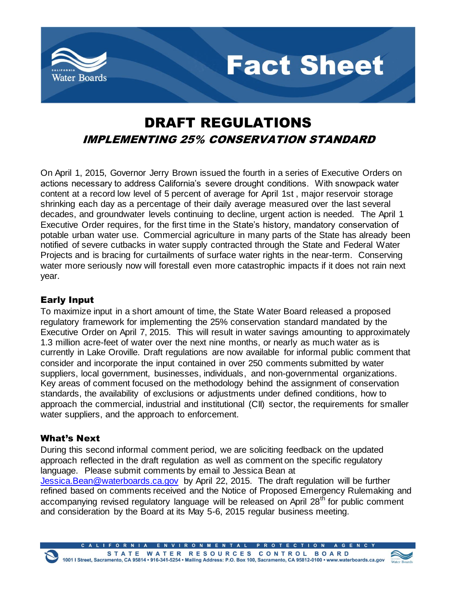



**Fact Sheet** 

On April 1, 2015, Governor Jerry Brown issued the fourth in a series of Executive Orders on actions necessary to address California's severe drought conditions. With snowpack water content at a record low level of 5 percent of average for April 1st , major reservoir storage shrinking each day as a percentage of their daily average measured over the last several decades, and groundwater levels continuing to decline, urgent action is needed. The April 1 Executive Order requires, for the first time in the State's history, mandatory conservation of potable urban water use. Commercial agriculture in many parts of the State has already been notified of severe cutbacks in water supply contracted through the State and Federal Water Projects and is bracing for curtailments of surface water rights in the near-term. Conserving water more seriously now will forestall even more catastrophic impacts if it does not rain next year.

# Early Input

To maximize input in a short amount of time, the State Water Board released a proposed regulatory framework for implementing the 25% conservation standard mandated by the Executive Order on April 7, 2015. This will result in water savings amounting to approximately 1.3 million acre-feet of water over the next nine months, or nearly as much water as is currently in Lake Oroville. Draft regulations are now available for informal public comment that consider and incorporate the input contained in over 250 comments submitted by water suppliers, local government, businesses, individuals, and non-governmental organizations. Key areas of comment focused on the methodology behind the assignment of conservation standards, the availability of exclusions or adjustments under defined conditions, how to approach the commercial, industrial and institutional (CII) sector, the requirements for smaller water suppliers, and the approach to enforcement.

## What's Next

During this second informal comment period, we are soliciting feedback on the updated approach reflected in the draft regulation as well as comment on the specific regulatory language. Please submit comments by email to Jessica Bean at [Jessica.Bean@waterboards.ca.gov](mailto:Jessica.Bean@waterboards.ca.gov) by April 22, 2015. The draft regulation will be further refined based on comments received and the Notice of Proposed Emergency Rulemaking and accompanying revised regulatory language will be released on April 28<sup>th</sup> for public comment and consideration by the Board at its May 5-6, 2015 regular business meeting.

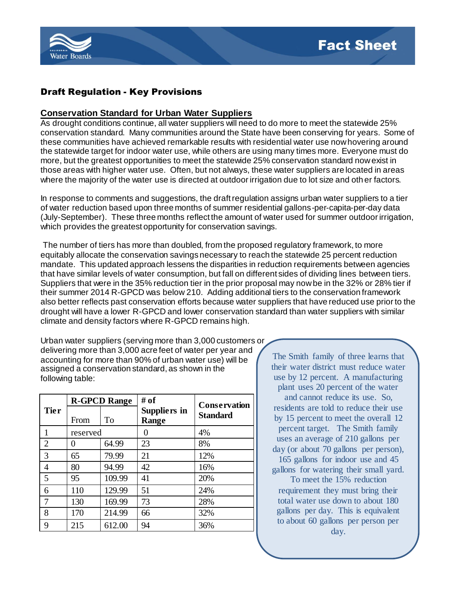

# Draft Regulation - Key Provisions

### **Conservation Standard for Urban Water Suppliers**

As drought conditions continue, all water suppliers will need to do more to meet the statewide 25% conservation standard. Many communities around the State have been conserving for years. Some of these communities have achieved remarkable results with residential water use now hovering around the statewide target for indoor water use, while others are using many times more. Everyone must do more, but the greatest opportunities to meet the statewide 25% conservation standard now exist in those areas with higher water use. Often, but not always, these water suppliers are located in areas where the majority of the water use is directed at outdoor irrigation due to lot size and oth er factors.

In response to comments and suggestions, the draft regulation assigns urban water suppliers to a tier of water reduction based upon three months of summer residential gallons-per-capita-per-day data (July-September). These three months reflect the amount of water used for summer outdoor irrigation, which provides the greatest opportunity for conservation savings.

The number of tiers has more than doubled, from the proposed regulatory framework, to more equitably allocate the conservation savings necessary to reach the statewide 25 percent reduction mandate. This updated approach lessens the disparities in reduction requirements between agencies that have similar levels of water consumption, but fall on different sides of dividing lines between tiers. Suppliers that were in the 35% reduction tier in the prior proposal may now be in the 32% or 28% tier if their summer 2014 R-GPCD was below 210. Adding additional tiers to the conservation framework also better reflects past conservation efforts because water suppliers that have reduced use prior to the drought will have a lower R-GPCD and lower conservation standard than water suppliers with similar climate and density factors where R-GPCD remains high.

Urban water suppliers (serving more than 3,000 customers or delivering more than 3,000 acre feet of water per year and accounting for more than 90% of urban water use) will be assigned a conservation standard, as shown in the following table:

|                | <b>R-GPCD Range</b> |        | # of                                | <b>Conservation</b> |
|----------------|---------------------|--------|-------------------------------------|---------------------|
| <b>Tier</b>    | From                | To     | <b>Suppliers in</b><br><b>Range</b> | <b>Standard</b>     |
|                | reserved            |        |                                     | 4%                  |
| $\overline{2}$ | 0                   | 64.99  | 23                                  | 8%                  |
| 3              | 65                  | 79.99  | 21                                  | 12%                 |
| 4              | 80                  | 94.99  | 42                                  | 16%                 |
| 5              | 95                  | 109.99 | 41                                  | 20%                 |
| 6              | 110                 | 129.99 | 51                                  | 24%                 |
|                | 130                 | 169.99 | 73                                  | 28%                 |
| 8              | 170                 | 214.99 | 66                                  | 32%                 |
| 9              | 215                 | 612.00 | 94                                  | 36%                 |

The Smith family of three learns that their water district must reduce water use by 12 percent. A manufacturing plant uses 20 percent of the water

and cannot reduce its use. So, residents are told to reduce their use by 15 percent to meet the overall 12 percent target. The Smith family uses an average of 210 gallons per day (or about 70 gallons per person),

165 gallons for indoor use and 45 gallons for watering their small yard.

To meet the 15% reduction requirement they must bring their total water use down to about 180 gallons per day. This is equivalent to about 60 gallons per person per day.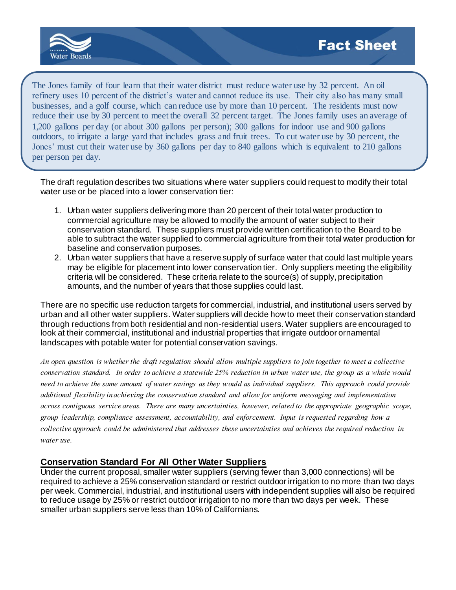

The Jones family of four learn that their water district must reduce water use by 32 percent. An oil refinery uses 10 percent of the district's water and cannot reduce its use. Their city also has many small businesses, and a golf course, which can reduce use by more than 10 percent. The residents must now reduce their use by 30 percent to meet the overall 32 percent target. The Jones family uses an average of 1,200 gallons per day (or about 300 gallons per person); 300 gallons for indoor use and 900 gallons outdoors, to irrigate a large yard that includes grass and fruit trees. To cut water use by 30 percent, the Jones' must cut their water use by 360 gallons per day to 840 gallons which is equivalent to 210 gallons per person per day.

The draft regulation describes two situations where water suppliers could request to modify their total water use or be placed into a lower conservation tier:

- 1. Urban water suppliers delivering more than 20 percent of their total water production to commercial agriculture may be allowed to modify the amount of water subject to their conservation standard. These suppliers must provide written certification to the Board to be able to subtract the water supplied to commercial agriculture from their total water production for baseline and conservation purposes.
- 2. Urban water suppliers that have a reserve supply of surface water that could last multiple years may be eligible for placement into lower conservation tier. Only suppliers meeting the eligibility criteria will be considered. These criteria relate to the source(s) of supply, precipitation amounts, and the number of years that those supplies could last.

There are no specific use reduction targets for commercial, industrial, and institutional users served by urban and all other water suppliers. Water suppliers will decide how to meet their conservation standard through reductions from both residential and non-residential users. Water suppliers are encouraged to look at their commercial, institutional and industrial properties that irrigate outdoor ornamental landscapes with potable water for potential conservation savings.

*An open question is whether the draft regulation should allow multiple suppliers to join together to meet a collective conservation standard. In order to achieve a statewide 25% reduction in urban water use, the group as a whole would need to achieve the same amount of water savings as they would as individual suppliers. This approach could provide additional flexibility in achieving the conservation standard and allow for uniform messaging and implementation across contiguous service areas. There are many uncertainties, however, related to the appropriate geographic scope, group leadership, compliance assessment, accountability, and enforcement. Input is requested regarding how a collective approach could be administered that addresses these uncertainties and achieves the required reduction in water use.*

### **Conservation Standard For All Other Water Suppliers**

Under the current proposal, smaller water suppliers (serving fewer than 3,000 connections) will be required to achieve a 25% conservation standard or restrict outdoor irrigation to no more than two days per week. Commercial, industrial, and institutional users with independent supplies will also be required to reduce usage by 25% or restrict outdoor irrigation to no more than two days per week. These smaller urban suppliers serve less than 10% of Californians.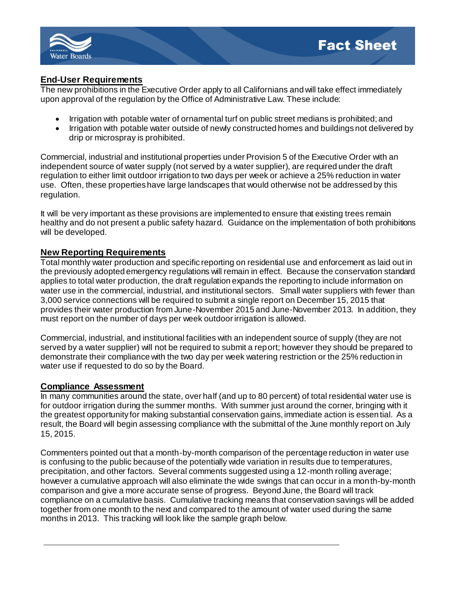

# **End-User Requirements**

The new prohibitions in the Executive Order apply to all Californians and will take effect immediately upon approval of the regulation by the Office of Administrative Law. These include:

- Irrigation with potable water of ornamental turf on public street medians is prohibited; and
- Irrigation with potable water outside of newly constructed homes and buildings not delivered by drip or microspray is prohibited.

Commercial, industrial and institutional properties under Provision 5 of the Executive Order with an independent source of water supply (not served by a water supplier), are required under the draft regulation to either limit outdoor irrigation to two days per week or achieve a 25% reduction in water use. Often, these properties have large landscapes that would otherwise not be addressed by this regulation.

It will be very important as these provisions are implemented to ensure that existing trees remain healthy and do not present a public safety hazard. Guidance on the implementation of both prohibitions will be developed.

## **New Reporting Requirements**

Total monthly water production and specific reporting on residential use and enforcement as laid out in the previously adopted emergency regulations will remain in effect. Because the conservation standard applies to total water production, the draft regulation expands the reporting to include information on water use in the commercial, industrial, and institutional sectors. Small water suppliers with fewer than 3,000 service connections will be required to submit a single report on December 15, 2015 that provides their water production from June-November 2015 and June-November 2013. In addition, they must report on the number of days per week outdoor irrigation is allowed.

Commercial, industrial, and institutional facilities with an independent source of supply (they are not served by a water supplier) will not be required to submit a report; however they should be prepared to demonstrate their compliance with the two day per week watering restriction or the 25% reduction in water use if requested to do so by the Board.

### **Compliance Assessment**

In many communities around the state, over half (and up to 80 percent) of total residential water use is for outdoor irrigation during the summer months. With summer just around the corner, bringing with it the greatest opportunity for making substantial conservation gains, immediate action is essential. As a result, the Board will begin assessing compliance with the submittal of the June monthly report on July 15, 2015.

Commenters pointed out that a month-by-month comparison of the percentage reduction in water use is confusing to the public because of the potentially wide variation in results due to temperatures, precipitation, and other factors. Several comments suggested using a 12-month rolling average; however a cumulative approach will also eliminate the wide swings that can occur in a month-by-month comparison and give a more accurate sense of progress. Beyond June, the Board will track compliance on a cumulative basis. Cumulative tracking means that conservation savings will be added together from one month to the next and compared to the amount of water used during the same months in 2013. This tracking will look like the sample graph below.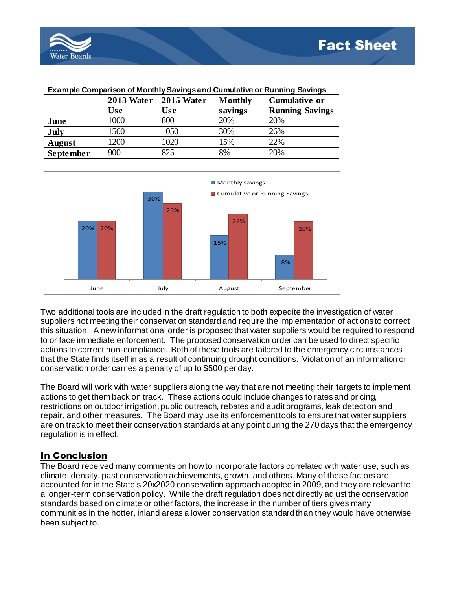

| LAGINDIG OONDANG ISON OF MONUMY OGYNIGS AND OUNIGURE OF INJINING OAYINGS |                         |            |         |                        |  |  |  |
|--------------------------------------------------------------------------|-------------------------|------------|---------|------------------------|--|--|--|
|                                                                          | 2013 Water   2015 Water |            | Monthly | <b>Cumulative or</b>   |  |  |  |
|                                                                          | <b>Use</b>              | <b>Use</b> | savings | <b>Running Savings</b> |  |  |  |
| June                                                                     | 1000                    | 800        | 20%     | 20%                    |  |  |  |
| July                                                                     | 1500                    | 1050       | 30%     | 26%                    |  |  |  |
| <b>August</b>                                                            | 1200                    | 1020       | 15%     | 22%                    |  |  |  |
| <b>September</b>                                                         | 900                     | 825        | 8%      | 20%                    |  |  |  |

#### **Example Comparison of Monthly Savings and Cumulative or Running Savings**



Two additional tools are included in the draft regulation to both expedite the investigation of water suppliers not meeting their conservation standard and require the implementation of actions to correct this situation. A new informational order is proposed that water suppliers would be required to respond to or face immediate enforcement. The proposed conservation order can be used to direct specific actions to correct non-compliance. Both of these tools are tailored to the emergency circumstances that the State finds itself in as a result of continuing drought conditions. Violation of an information or conservation order carries a penalty of up to \$500 per day.

The Board will work with water suppliers along the way that are not meeting their targets to implement actions to get them back on track. These actions could include changes to rates and pricing, restrictions on outdoor irrigation, public outreach, rebates and audit programs, leak detection and repair, and other measures. The Board may use its enforcement tools to ensure that water suppliers are on track to meet their conservation standards at any point during the 270 days that the emergency regulation is in effect.

## In Conclusion

The Board received many comments on how to incorporate factors correlated with water use, such as climate, density, past conservation achievements, growth, and others. Many of these factors are accounted for in the State's 20x2020 conservation approach adopted in 2009, and they are relevant to a longer-term conservation policy. While the draft regulation does not directly adjust the conservation standards based on climate or other factors, the increase in the number of tiers gives many communities in the hotter, inland areas a lower conservation standard than they would have otherwise been subject to.